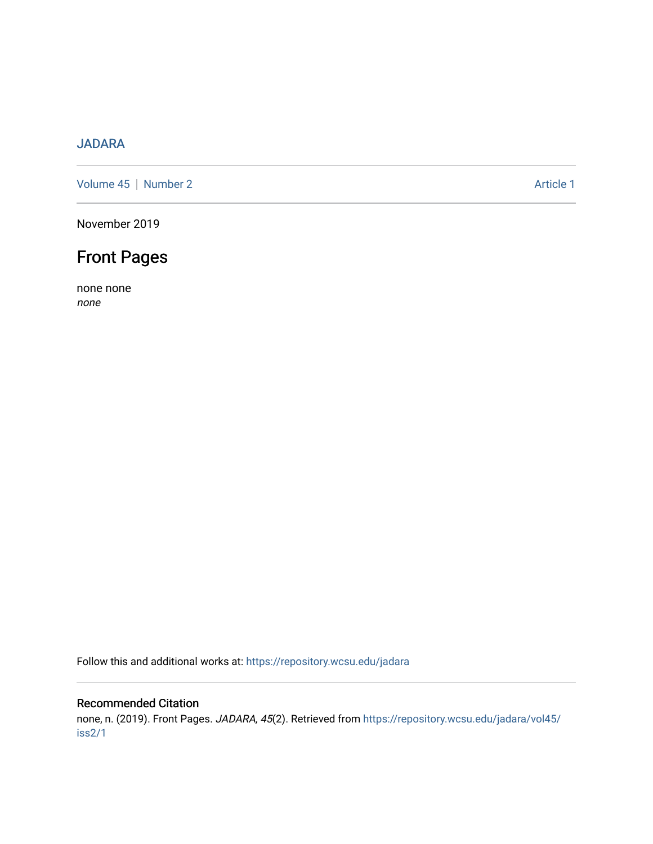### [JADARA](https://repository.wcsu.edu/jadara)

[Volume 45](https://repository.wcsu.edu/jadara/vol45) | [Number 2](https://repository.wcsu.edu/jadara/vol45/iss2) Article 1

November 2019

# Front Pages

none none none

Follow this and additional works at: [https://repository.wcsu.edu/jadara](https://repository.wcsu.edu/jadara?utm_source=repository.wcsu.edu%2Fjadara%2Fvol45%2Fiss2%2F1&utm_medium=PDF&utm_campaign=PDFCoverPages)

#### Recommended Citation

none, n. (2019). Front Pages. JADARA, 45(2). Retrieved from [https://repository.wcsu.edu/jadara/vol45/](https://repository.wcsu.edu/jadara/vol45/iss2/1?utm_source=repository.wcsu.edu%2Fjadara%2Fvol45%2Fiss2%2F1&utm_medium=PDF&utm_campaign=PDFCoverPages) [iss2/1](https://repository.wcsu.edu/jadara/vol45/iss2/1?utm_source=repository.wcsu.edu%2Fjadara%2Fvol45%2Fiss2%2F1&utm_medium=PDF&utm_campaign=PDFCoverPages)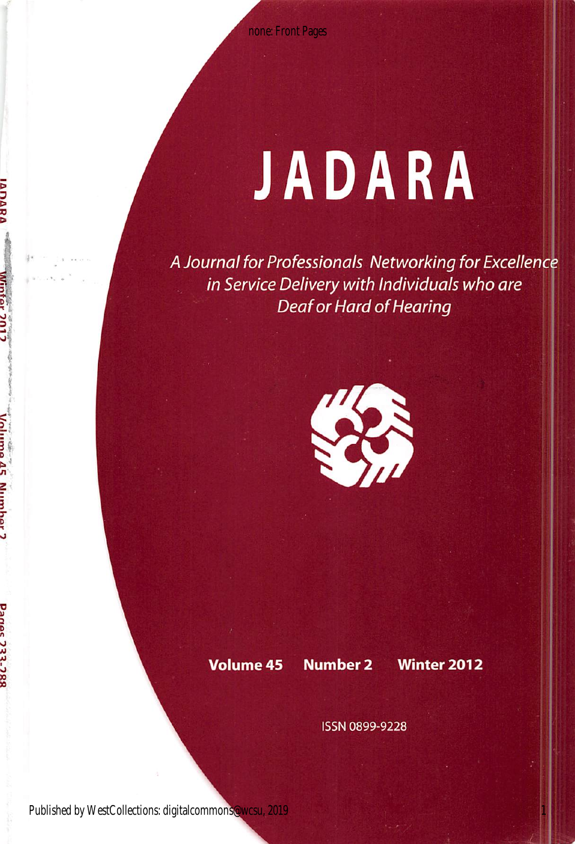none: Front Pages

# JADARA

A Journal for Professionals Networking for Excellenc in Service Delivery with Individuals who are Deaf or Hard of Hearing



Volume 45 Number 2 Winter 2012

1

ISSN 0899-9228

Published by WestCollections: digitalcommons@wcsu, 2019

**PARTHMENT** 

**Danes 732-785**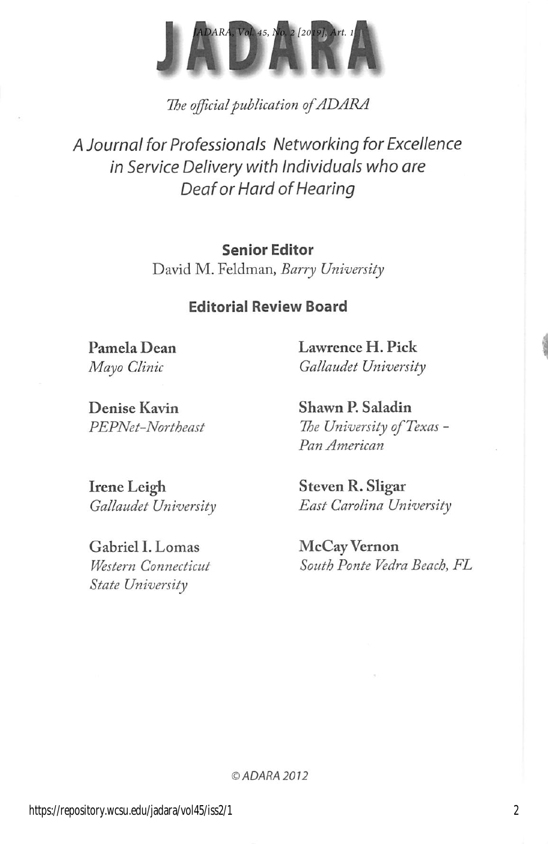

The official publication of ADARA

A Journal for Professionals Networking for Excellence in Service Delivery with Individuals who are Deaf or Hard of Hearing

### Senior Editor

David M. Feldman, Barry University

### Editorial Review Board

Pamela Dean Lawrence H. Pick Mayo Clinic Gallaudet University

Denise Kavin Shawn P. Saladin

PEPNet-Northeast The University of Texas -Pan American

Irene Leigh Steven R. Sligar

Gabriel I. Lomas McCay Vernon State University

Gallaudet University East Carolina University

Western Connecticut South Ponte Vedra Beach, FL

© ADARA 2012